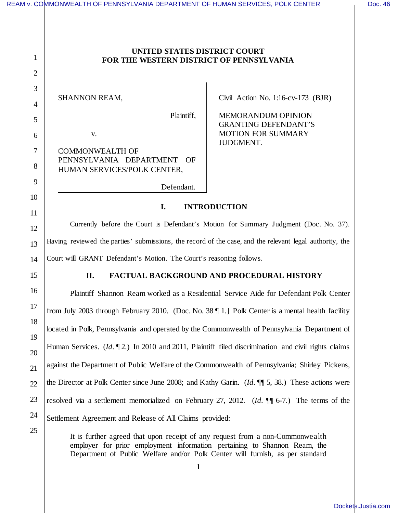|              | REAM v. COMMONWEALTH OF PENNSYLVANIA DEPARTMENT OF HUMAN SERVICES, POLK CENTER                             |                                                   | Doc. 46 |
|--------------|------------------------------------------------------------------------------------------------------------|---------------------------------------------------|---------|
|              |                                                                                                            |                                                   |         |
|              |                                                                                                            |                                                   |         |
| 1            | UNITED STATES DISTRICT COURT<br>FOR THE WESTERN DISTRICT OF PENNSYLVANIA                                   |                                                   |         |
| $\mathbf{2}$ |                                                                                                            |                                                   |         |
| 3            |                                                                                                            |                                                   |         |
| 4            | <b>SHANNON REAM,</b>                                                                                       | Civil Action No. $1:16$ -cv-173 (BJR)             |         |
| 5            | Plaintiff,                                                                                                 | MEMORANDUM OPINION<br><b>GRANTING DEFENDANT'S</b> |         |
| 6            | V.                                                                                                         | <b>MOTION FOR SUMMARY</b><br>JUDGMENT.            |         |
| 7            | <b>COMMONWEALTH OF</b>                                                                                     |                                                   |         |
| 8            | PENNSYLVANIA DEPARTMENT<br>OF<br>HUMAN SERVICES/POLK CENTER,                                               |                                                   |         |
| 9            | Defendant.                                                                                                 |                                                   |         |
| 10           | I.<br><b>INTRODUCTION</b>                                                                                  |                                                   |         |
| 11           |                                                                                                            |                                                   |         |
| 12           | Currently before the Court is Defendant's Motion for Summary Judgment (Doc. No. 37).                       |                                                   |         |
| 13           | Having reviewed the parties' submissions, the record of the case, and the relevant legal authority, the    |                                                   |         |
| 14           | Court will GRANT Defendant's Motion. The Court's reasoning follows.                                        |                                                   |         |
| 15           | FACTUAL BACKGROUND AND PROCEDURAL HISTORY<br>II.                                                           |                                                   |         |
| 16           | Plaintiff Shannon Ream worked as a Residential Service Aide for Defendant Polk Center                      |                                                   |         |
| 17           | from July 2003 through February 2010. (Doc. No. 38   1.] Polk Center is a mental health facility           |                                                   |         |
| 18           | located in Polk, Pennsylvania and operated by the Commonwealth of Pennsylvania Department of               |                                                   |         |
| 19           | Human Services. $(Id. \P 2)$ In 2010 and 2011, Plaintiff filed discrimination and civil rights claims      |                                                   |         |
| 20           |                                                                                                            |                                                   |         |
| 21           | against the Department of Public Welfare of the Commonwealth of Pennsylvania; Shirley Pickens,             |                                                   |         |
| 22           | the Director at Polk Center since June 2008; and Kathy Garin. ( <i>Id.</i> $\P$ 5, 38.) These actions were |                                                   |         |
| 23           | resolved via a settlement memorialized on February 27, 2012. (Id. ¶ 6-7.) The terms of the                 |                                                   |         |
| 24           | Settlement Agreement and Release of All Claims provided:                                                   |                                                   |         |
| 25           | It is further agreed that upon receipt of any request from a non-Commonwealth                              |                                                   |         |

employer for prior employment information pertaining to Shannon Ream, the Department of Public Welfare and/or Polk Center will furnish, as per standard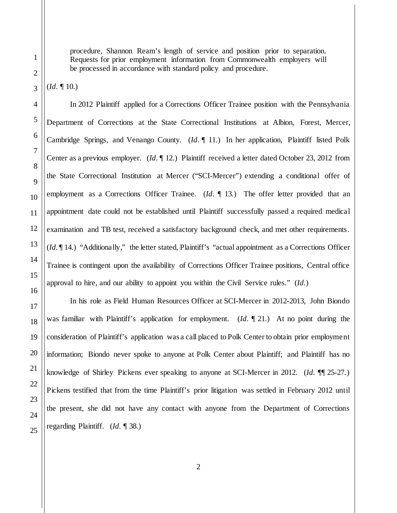procedure, Shannon Ream's length of service and position prior to separation. Requests for prior employment information from Commonwealth employers will be processed in accordance with standard policy and procedure.

(*Id.* ¶ 10.)

In 2012 Plaintiff applied for a Corrections Officer Trainee position with the Pennsylvania Department of Corrections at the State Correctional Institutions at Albion, Forest, Mercer, Cambridge Springs, and Venango County. (*Id.* ¶ 11.) In her application, Plaintiff listed Polk Center as a previous employer. (*Id.* ¶ 12.) Plaintiff received a letter dated October 23, 2012 from the State Correctional Institution at Mercer ("SCI-Mercer") extending a conditional offer of employment as a Corrections Officer Trainee. (*Id.* 13.) The offer letter provided that an appointment date could not be established until Plaintiff successfully passed a required medical examination and TB test, received a satisfactory background check, and met other requirements. (*Id.* ¶ 14.) "Additionally," the letter stated, Plaintiff's "actual appointment as a Corrections Officer Trainee is contingent upon the availability of Corrections Officer Trainee positions, Central office approval to hire, and our ability to appoint you within the Civil Service rules." (*Id.*)

In his role as Field Human Resources Officer at SCI-Mercer in 2012-2013, John Biondo was familiar with Plaintiff's application for employment. (*Id.* ¶ 21.) At no point during the consideration of Plaintiff's application was a call placed to Polk Center to obtain prior employment information; Biondo never spoke to anyone at Polk Center about Plaintiff; and Plaintiff has no knowledge of Shirley Pickens ever speaking to anyone at SCI-Mercer in 2012. (*Id.* ¶¶ 25-27.) Pickens testified that from the time Plaintiff's prior litigation was settled in February 2012 until the present, she did not have any contact with anyone from the Department of Corrections regarding Plaintiff. (*Id.* ¶ 38.)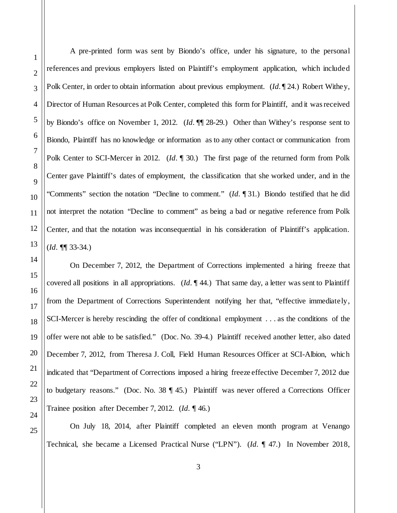A pre-printed form was sent by Biondo's office, under his signature, to the personal references and previous employers listed on Plaintiff's employment application, which included Polk Center, in order to obtain information about previous employment. (*Id.* ¶ 24.) Robert Withey, Director of Human Resources at Polk Center, completed this form for Plaintiff, and it was received by Biondo's office on November 1, 2012. (*Id.* ¶¶ 28-29.) Other than Withey's response sent to Biondo, Plaintiff has no knowledge or information as to any other contact or communication from Polk Center to SCI-Mercer in 2012. (*Id.* ¶ 30.) The first page of the returned form from Polk Center gave Plaintiff's dates of employment, the classification that she worked under, and in the "Comments" section the notation "Decline to comment." (*Id.* ¶ 31.) Biondo testified that he did not interpret the notation "Decline to comment" as being a bad or negative reference from Polk Center, and that the notation was inconsequential in his consideration of Plaintiff's application. (*Id.* ¶¶ 33-34.)

On December 7, 2012, the Department of Corrections implemented a hiring freeze that covered all positions in all appropriations. (*Id.* ¶ 44.) That same day, a letter was sent to Plaintiff from the Department of Corrections Superintendent notifying her that, "effective immediately, SCI-Mercer is hereby rescinding the offer of conditional employment . . . as the conditions of the offer were not able to be satisfied." (Doc. No. 39-4.) Plaintiff received another letter, also dated December 7, 2012, from Theresa J. Coll, Field Human Resources Officer at SCI-Albion, which indicated that "Department of Corrections imposed a hiring freeze effective December 7, 2012 due to budgetary reasons." (Doc. No. 38 ¶ 45.) Plaintiff was never offered a Corrections Officer Trainee position after December 7, 2012. (*Id.* ¶ 46.)

On July 18, 2014, after Plaintiff completed an eleven month program at Venango Technical, she became a Licensed Practical Nurse ("LPN"). (*Id.* ¶ 47.) In November 2018,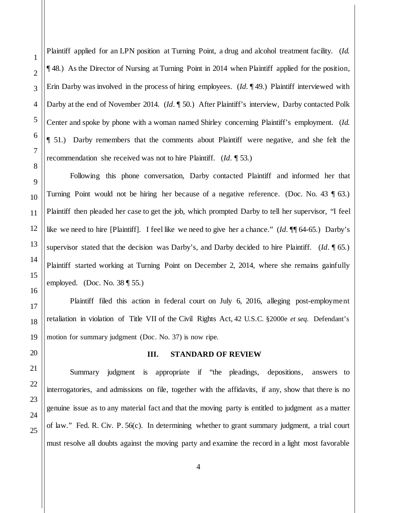1

2

3

Plaintiff applied for an LPN position at Turning Point, a drug and alcohol treatment facility. (*Id.* ¶ 48.) As the Director of Nursing at Turning Point in 2014 when Plaintiff applied for the position, Erin Darby was involved in the process of hiring employees. (*Id.* ¶ 49.) Plaintiff interviewed with Darby at the end of November 2014. (*Id.* ¶ 50.) After Plaintiff's interview, Darby contacted Polk Center and spoke by phone with a woman named Shirley concerning Plaintiff's employment. (*Id.* ¶ 51.) Darby remembers that the comments about Plaintiff were negative, and she felt the recommendation she received was not to hire Plaintiff. (*Id.* ¶ 53.)

Following this phone conversation, Darby contacted Plaintiff and informed her that Turning Point would not be hiring her because of a negative reference. (Doc. No. 43 \, 63.) Plaintiff then pleaded her case to get the job, which prompted Darby to tell her supervisor, "I feel like we need to hire [Plaintiff]. I feel like we need to give her a chance." (*Id.* ¶¶ 64-65.) Darby's supervisor stated that the decision was Darby's, and Darby decided to hire Plaintiff. (*Id.* ¶ 65.) Plaintiff started working at Turning Point on December 2, 2014, where she remains gainfully employed. (Doc. No.  $38 \text{ } \sqrt{\phantom{0}}$  55.)

Plaintiff filed this action in federal court on July 6, 2016, alleging post-employment retaliation in violation of Title VII of the Civil Rights Act, 42 U.S.C. §2000e *et seq*. Defendant's motion for summary judgment (Doc. No. 37) is now ripe.

## **III. STANDARD OF REVIEW**

Summary judgment is appropriate if "the pleadings, depositions, answers to interrogatories, and admissions on file, together with the affidavits, if any, show that there is no genuine issue as to any material fact and that the moving party is entitled to judgment as a matter of law." Fed. R. Civ. P. 56(c). In determining whether to grant summary judgment, a trial court must resolve all doubts against the moving party and examine the record in a light most favorable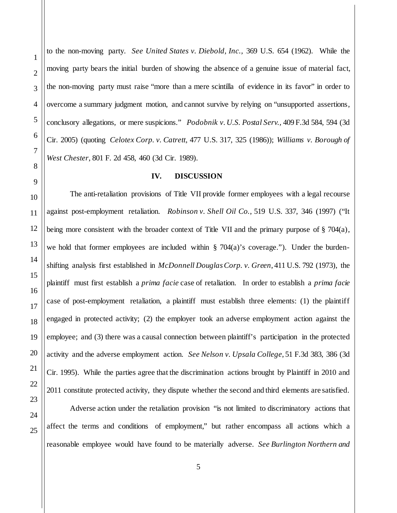to the non-moving party. *See United States v. Diebold, Inc.,* 369 U.S. 654 (1962). While the moving party bears the initial burden of showing the absence of a genuine issue of material fact, the non-moving party must raise "more than a mere scintilla of evidence in its favor" in order to overcome a summary judgment motion, and cannot survive by relying on "unsupported assertions, conclusory allegations, or mere suspicions." *Podobnik v. U.S. Postal Serv.,* 409 F.3d 584, 594 (3d Cir. 2005) (quoting *Celotex Corp. v. Catrett*, 477 U.S. 317, 325 (1986)); *Williams v. Borough of West Chester*, 801 F. 2d 458, 460 (3d Cir. 1989).

## **IV. DISCUSSION**

The anti-retaliation provisions of Title VII provide former employees with a legal recourse against post-employment retaliation. *Robinson v. Shell Oil Co.*, 519 U.S. 337, 346 (1997) ("It being more consistent with the broader context of Title VII and the primary purpose of  $\S$  704(a), we hold that former employees are included within  $\S$  704(a)'s coverage."). Under the burdenshifting analysis first established in *McDonnell Douglas Corp. v. Green*, 411 U.S. 792 (1973), the plaintiff must first establish a *prima facie* case of retaliation. In order to establish a *prima facie* case of post-employment retaliation, a plaintiff must establish three elements: (1) the plaintiff engaged in protected activity; (2) the employer took an adverse employment action against the employee; and (3) there was a causal connection between plaintiff's participation in the protected activity and the adverse employment action. *See Nelson v. Upsala College*, 51 F.3d 383, 386 (3d Cir. 1995). While the parties agree that the discrimination actions brought by Plaintiff in 2010 and 2011 constitute protected activity, they dispute whether the second and third elements are satisfied.

Adverse action under the retaliation provision "is not limited to discriminatory actions that affect the terms and conditions of employment," but rather encompass all actions which a reasonable employee would have found to be materially adverse. *See Burlington Northern and* 

1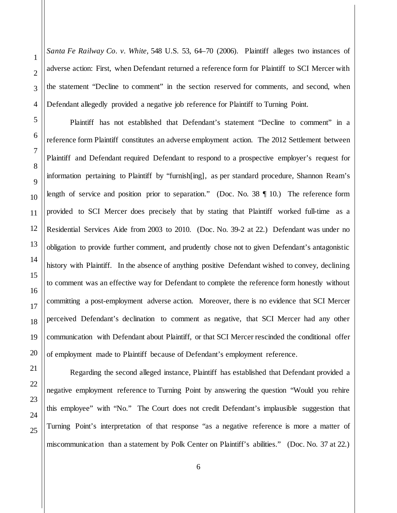*Santa Fe Railway Co. v. White,* 548 U.S. 53, 64–70 (2006). Plaintiff alleges two instances of adverse action: First, when Defendant returned a reference form for Plaintiff to SCI Mercer with the statement "Decline to comment" in the section reserved for comments, and second, when Defendant allegedly provided a negative job reference for Plaintiff to Turning Point.

Plaintiff has not established that Defendant's statement "Decline to comment" in a reference form Plaintiff constitutes an adverse employment action. The 2012 Settlement between Plaintiff and Defendant required Defendant to respond to a prospective employer's request for information pertaining to Plaintiff by "furnish[ing], as per standard procedure, Shannon Ream's length of service and position prior to separation." (Doc. No. 38 ¶ 10.) The reference form provided to SCI Mercer does precisely that by stating that Plaintiff worked full-time as a Residential Services Aide from 2003 to 2010. (Doc. No. 39-2 at 22.) Defendant was under no obligation to provide further comment, and prudently chose not to given Defendant's antagonistic history with Plaintiff. In the absence of anything positive Defendant wished to convey, declining to comment was an effective way for Defendant to complete the reference form honestly without committing a post-employment adverse action. Moreover, there is no evidence that SCI Mercer perceived Defendant's declination to comment as negative, that SCI Mercer had any other communication with Defendant about Plaintiff, or that SCI Mercer rescinded the conditional offer of employment made to Plaintiff because of Defendant's employment reference.

25

1

2

3

4

5

6

7

8

9

10

11

12

13

14

15

Regarding the second alleged instance, Plaintiff has established that Defendant provided a negative employment reference to Turning Point by answering the question "Would you rehire this employee" with "No." The Court does not credit Defendant's implausible suggestion that Turning Point's interpretation of that response "as a negative reference is more a matter of miscommunication than a statement by Polk Center on Plaintiff's abilities." (Doc. No. 37 at 22.)